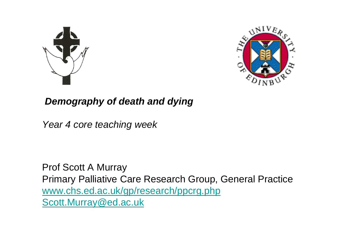



### **Demography of death and dying**

Year 4 core teaching week

Prof Scott A Murray Primary Palliative Care Research Group, General Practicewww.chs.ed.ac.uk/gp/research/ppcrg.phpScott.Murray@ed.ac.uk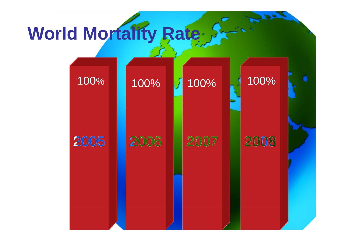

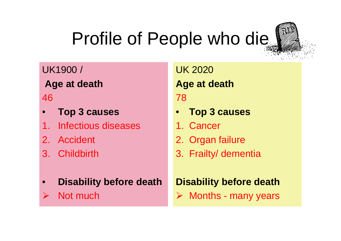# Profile of People who die

UK1900 / **Age at death** 

46

- •**Top 3 causes**
- 1. Infectious diseases
- 2. Accident
- 3. Childbirth
- • **Disability before death** $\blacktriangleright$ Not much

UK 2020**Age at death** 78

- $\bullet$ **Top 3 causes**
- 1. Cancer
- 2. Organ failure
- 3. Frailty/ dementia

**Disability before death**

Months - many years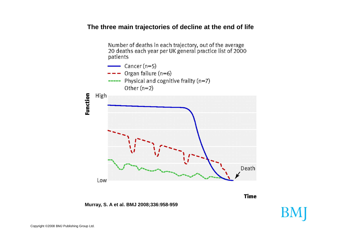#### **The three main trajectories of decline at the end of life**

Number of deaths in each trajectory, out of the average 20 deaths each year per UK general practice list of 2000 patients Cancer  $(n=5)$ Organ failure (n=6) ---- Physical and cognitive frailty (n=7) Other  $(n=2)$ High Function Death Low



**Murray, S. A et al. BMJ 2008;336:958-959**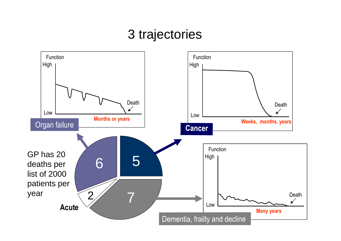### 3 trajectories

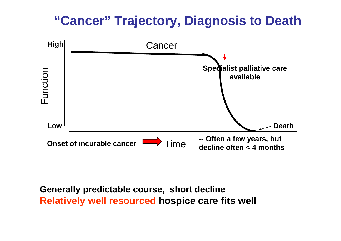## **"Cancer" Trajectory, Diagnosis to Death**



#### **Generally predictable course, short declineRelatively well resourced hospice care fits well**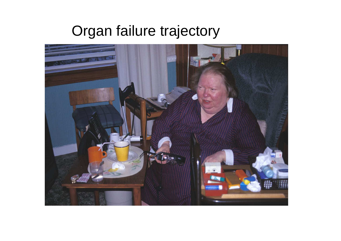# Organ failure trajectory

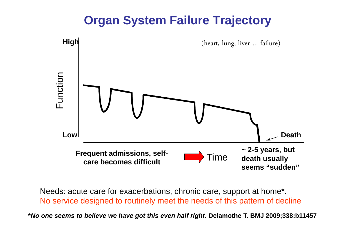### **Organ System Failure Trajectory**



Needs: acute care for exacerbations, chronic care, support at home\*. No service designed to routinely meet the needs of this pattern of decline

**\*No one seems to believe we have got this even half right. Delamothe T. BMJ 2009;338:b11457**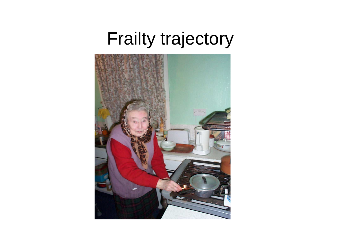# Frailty trajectory

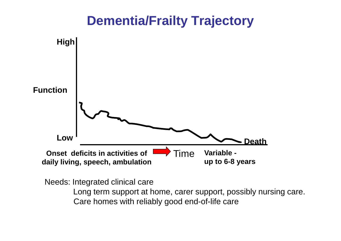

Needs: Integrated clinical care

Long term support at home, carer support, possibly nursing care.Care homes with reliably good end-of-life care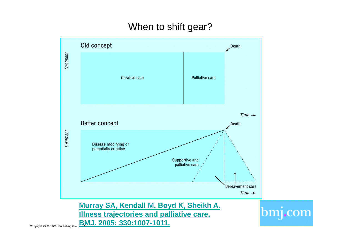### When to shift gear?

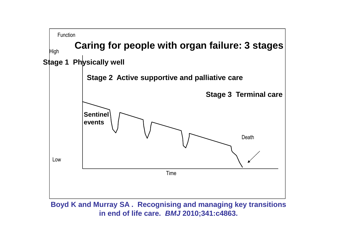

**Boyd K and Murray SA . Recognising and managing key transitions in end of life care. BMJ 2010;341:c4863.**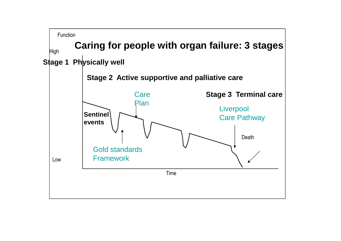